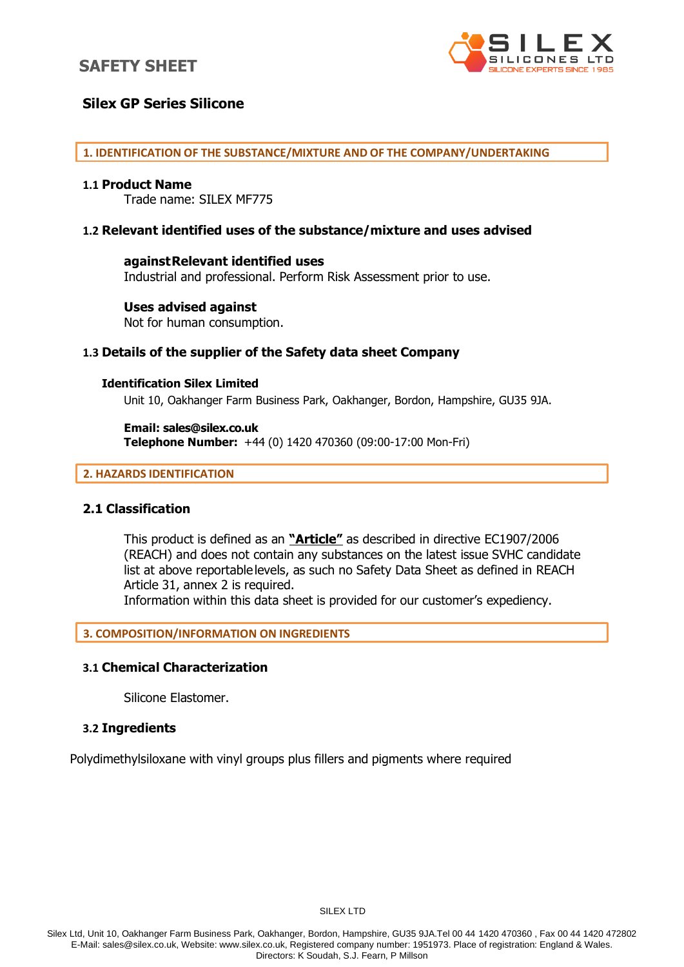

# **Silex GP Series Silicone**

**1. IDENTIFICATION OF THE SUBSTANCE/MIXTURE AND OF THE COMPANY/UNDERTAKING**

# **1.1 Product Name**

Trade name: SILEX MF775

# **1.2 Relevant identified uses of the substance/mixture and uses advised**

## **againstRelevant identified uses**

Industrial and professional. Perform Risk Assessment prior to use.

## **Uses advised against**

Not for human consumption.

# **1.3 Details of the supplier of the Safety data sheet Company**

# **Identification Silex Limited**

Unit 10, Oakhanger Farm Business Park, Oakhanger, Bordon, Hampshire, GU35 9JA.

# **Email: sales@silex.co.uk Telephone Number:** +44 (0) 1420 470360 (09:00-17:00 Mon-Fri)

## **2. HAZARDS IDENTIFICATION**

# **2.1 Classification**

This product is defined as an **"Article"** as described in directive EC1907/2006 (REACH) and does not contain any substances on the latest issue SVHC candidate list at above reportablelevels, as such no Safety Data Sheet as defined in REACH Article 31, annex 2 is required.

Information within this data sheet is provided for our customer's expediency.

## **3. COMPOSITION/INFORMATION ON INGREDIENTS**

# **3.1 Chemical Characterization**

Silicone Elastomer.

# **3.2 Ingredients**

Polydimethylsiloxane with vinyl groups plus fillers and pigments where required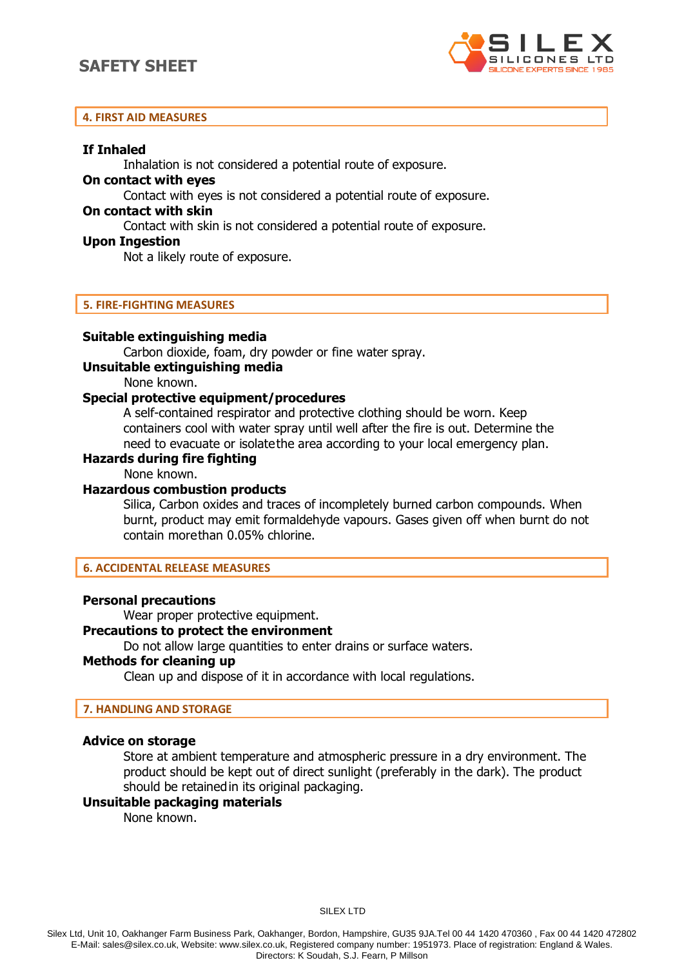

# **4. FIRST AID MEASURES**

# **If Inhaled**

Inhalation is not considered a potential route of exposure.

# **On contact with eyes**

Contact with eyes is not considered a potential route of exposure.

# **On contact with skin**

Contact with skin is not considered a potential route of exposure.

# **Upon Ingestion**

Not a likely route of exposure.

# **5. FIRE-FIGHTING MEASURES**

# **Suitable extinguishing media**

Carbon dioxide, foam, dry powder or fine water spray.

# **Unsuitable extinguishing media**

None known.

# **Special protective equipment/procedures**

A self-contained respirator and protective clothing should be worn. Keep containers cool with water spray until well after the fire is out. Determine the need to evacuate or isolatethe area according to your local emergency plan.

## **Hazards during fire fighting**

None known.

# **Hazardous combustion products**

Silica, Carbon oxides and traces of incompletely burned carbon compounds. When burnt, product may emit formaldehyde vapours. Gases given off when burnt do not contain morethan 0.05% chlorine.

## **6. ACCIDENTAL RELEASE MEASURES**

## **Personal precautions**

Wear proper protective equipment.

# **Precautions to protect the environment**

Do not allow large quantities to enter drains or surface waters.

# **Methods for cleaning up**

Clean up and dispose of it in accordance with local regulations.

# **7. HANDLING AND STORAGE**

## **Advice on storage**

Store at ambient temperature and atmospheric pressure in a dry environment. The product should be kept out of direct sunlight (preferably in the dark). The product should be retainedin its original packaging.

## **Unsuitable packaging materials**

None known.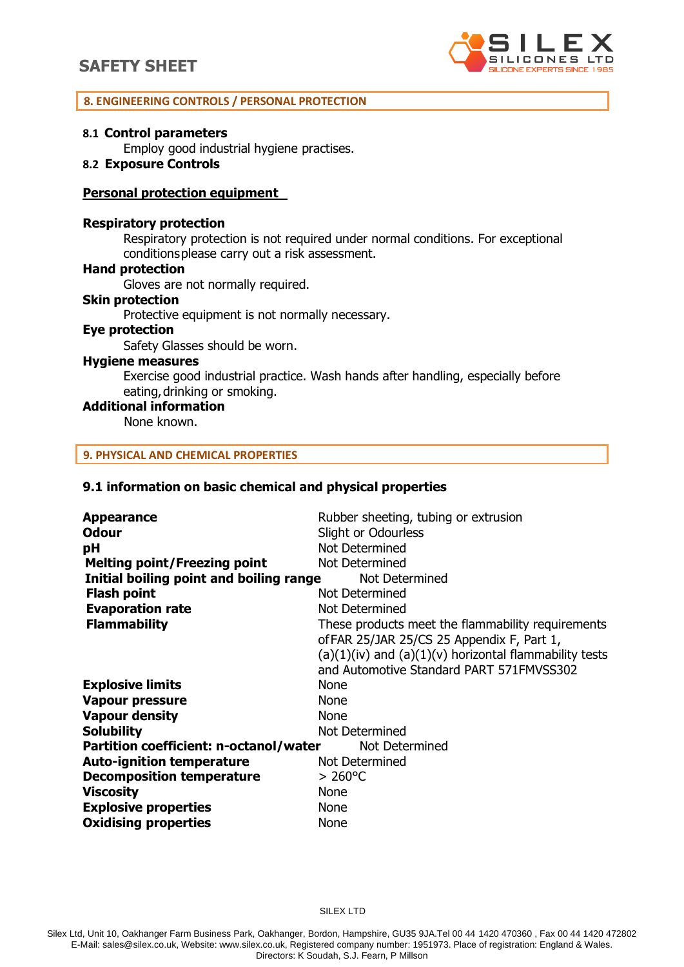# **SAFETY SHEET**



#### **8. ENGINEERING CONTROLS / PERSONAL PROTECTION**

# **8.1 Control parameters**

Employ good industrial hygiene practises.

# **8.2 Exposure Controls**

# **Personal protection equipment**

## **Respiratory protection**

Respiratory protection is not required under normal conditions. For exceptional conditionsplease carry out a risk assessment.

# **Hand protection**

Gloves are not normally required.

#### **Skin protection**

Protective equipment is not normally necessary.

# **Eye protection**

Safety Glasses should be worn.

#### **Hygiene measures**

Exercise good industrial practice. Wash hands after handling, especially before eating,drinking or smoking.

## **Additional information**

None known.

#### **9. PHYSICAL AND CHEMICAL PROPERTIES**

# **9.1 information on basic chemical and physical properties**

| <b>Appearance</b>                                         | Rubber sheeting, tubing or extrusion                       |
|-----------------------------------------------------------|------------------------------------------------------------|
| <b>Odour</b>                                              | Slight or Odourless                                        |
| рH                                                        | Not Determined                                             |
| <b>Melting point/Freezing point</b>                       | Not Determined                                             |
| Initial boiling point and boiling range<br>Not Determined |                                                            |
| <b>Flash point</b>                                        | Not Determined                                             |
| <b>Evaporation rate</b>                                   | Not Determined                                             |
| <b>Flammability</b>                                       | These products meet the flammability requirements          |
|                                                           | of FAR 25/JAR 25/CS 25 Appendix F, Part 1,                 |
|                                                           | $(a)(1)(iv)$ and $(a)(1)(v)$ horizontal flammability tests |
|                                                           | and Automotive Standard PART 571FMVSS302                   |
| <b>Explosive limits</b>                                   | <b>None</b>                                                |
| <b>Vapour pressure</b>                                    | <b>None</b>                                                |
| <b>Vapour density</b>                                     | <b>None</b>                                                |
| <b>Solubility</b>                                         | Not Determined                                             |
| Partition coefficient: n-octanol/water<br>Not Determined  |                                                            |
| <b>Auto-ignition temperature</b>                          | Not Determined                                             |
| <b>Decomposition temperature</b>                          | $> 260^{\circ}$ C                                          |
| Viscosity                                                 | <b>None</b>                                                |
| <b>Explosive properties</b>                               | <b>None</b>                                                |
| <b>Oxidising properties</b>                               | <b>None</b>                                                |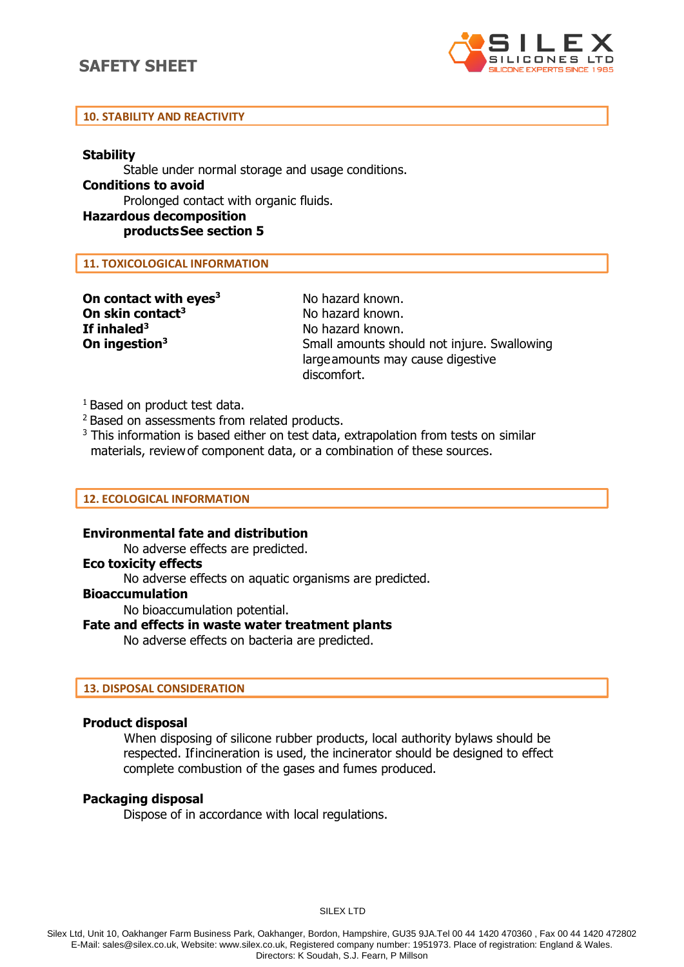# **SAFETY SHEET**



# **10. STABILITY AND REACTIVITY**

# **Stability**

Stable under normal storage and usage conditions. **Conditions to avoid** Prolonged contact with organic fluids. **Hazardous decomposition productsSee section 5**

**11. TOXICOLOGICAL INFORMATION**

| On contact with eyes <sup>3</sup> |
|-----------------------------------|
| On skin contact <sup>3</sup>      |
| If inhaled <sup>3</sup>           |
| On ingestion <sup>3</sup>         |

**On contact with eyes<sup>3</sup>** No hazard known. **No hazard known. If inhaled<sup>3</sup>** No hazard known. **Small amounts should not injure. Swallowing** largeamounts may cause digestive discomfort.

<sup>1</sup> Based on product test data.

<sup>2</sup> Based on assessments from related products.

<sup>3</sup> This information is based either on test data, extrapolation from tests on similar materials, reviewof component data, or a combination of these sources.

## **12. ECOLOGICAL INFORMATION**

# **Environmental fate and distribution**

No adverse effects are predicted.

#### **Eco toxicity effects**

No adverse effects on aquatic organisms are predicted.

# **Bioaccumulation**

No bioaccumulation potential.

## **Fate and effects in waste water treatment plants**

No adverse effects on bacteria are predicted.

## **13. DISPOSAL CONSIDERATION**

# **Product disposal**

When disposing of silicone rubber products, local authority bylaws should be respected. Ifincineration is used, the incinerator should be designed to effect complete combustion of the gases and fumes produced.

# **Packaging disposal**

Dispose of in accordance with local regulations.